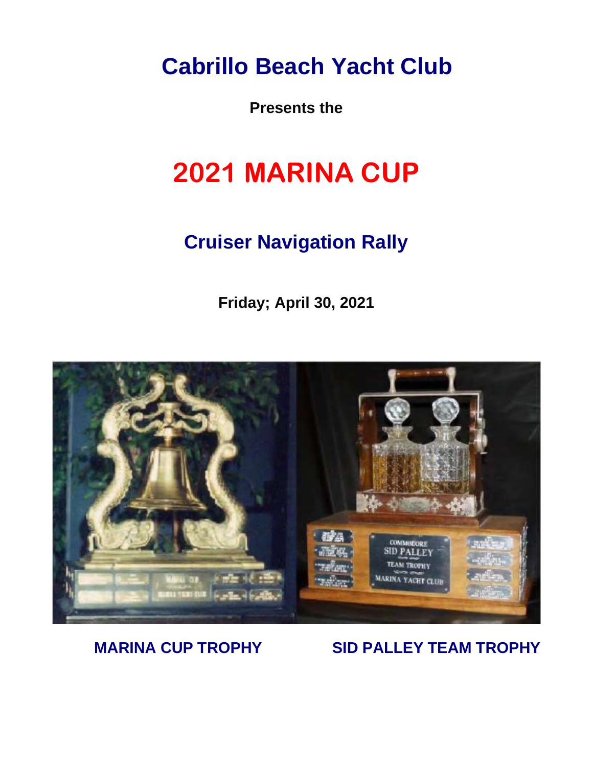**Cabrillo Beach Yacht Club**

**Presents the**

# **2021 MARINA CUP**

# **Cruiser Navigation Rally**

**Friday; April 30, 2021**



### **MARINA CUP TROPHY SID PALLEY TEAM TROPHY**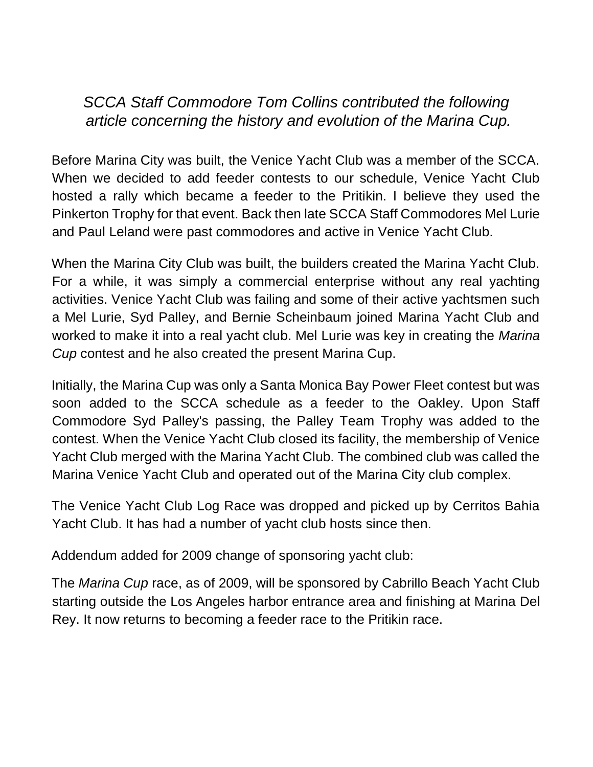### *SCCA Staff Commodore Tom Collins contributed the following article concerning the history and evolution of the Marina Cup.*

Before Marina City was built, the Venice Yacht Club was a member of the SCCA. When we decided to add feeder contests to our schedule, Venice Yacht Club hosted a rally which became a feeder to the Pritikin. I believe they used the Pinkerton Trophy for that event. Back then late SCCA Staff Commodores Mel Lurie and Paul Leland were past commodores and active in Venice Yacht Club.

When the Marina City Club was built, the builders created the Marina Yacht Club. For a while, it was simply a commercial enterprise without any real yachting activities. Venice Yacht Club was failing and some of their active yachtsmen such a Mel Lurie, Syd Palley, and Bernie Scheinbaum joined Marina Yacht Club and worked to make it into a real yacht club. Mel Lurie was key in creating the *Marina Cup* contest and he also created the present Marina Cup.

Initially, the Marina Cup was only a Santa Monica Bay Power Fleet contest but was soon added to the SCCA schedule as a feeder to the Oakley. Upon Staff Commodore Syd Palley's passing, the Palley Team Trophy was added to the contest. When the Venice Yacht Club closed its facility, the membership of Venice Yacht Club merged with the Marina Yacht Club. The combined club was called the Marina Venice Yacht Club and operated out of the Marina City club complex.

The Venice Yacht Club Log Race was dropped and picked up by Cerritos Bahia Yacht Club. It has had a number of yacht club hosts since then.

Addendum added for 2009 change of sponsoring yacht club:

The *Marina Cup* race, as of 2009, will be sponsored by Cabrillo Beach Yacht Club starting outside the Los Angeles harbor entrance area and finishing at Marina Del Rey. It now returns to becoming a feeder race to the Pritikin race.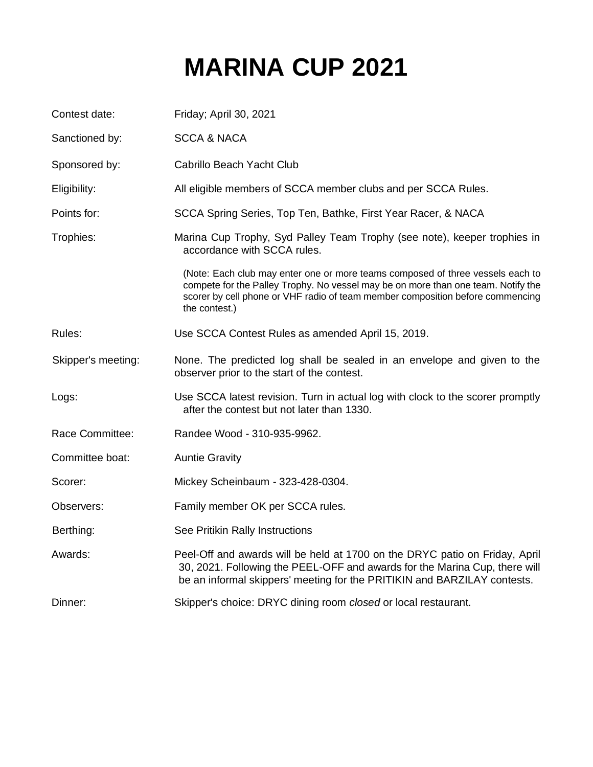# **MARINA CUP 2021**

| Contest date:      | Friday; April 30, 2021                                                                                                                                                                                                                                                 |
|--------------------|------------------------------------------------------------------------------------------------------------------------------------------------------------------------------------------------------------------------------------------------------------------------|
| Sanctioned by:     | <b>SCCA &amp; NACA</b>                                                                                                                                                                                                                                                 |
| Sponsored by:      | Cabrillo Beach Yacht Club                                                                                                                                                                                                                                              |
| Eligibility:       | All eligible members of SCCA member clubs and per SCCA Rules.                                                                                                                                                                                                          |
| Points for:        | SCCA Spring Series, Top Ten, Bathke, First Year Racer, & NACA                                                                                                                                                                                                          |
| Trophies:          | Marina Cup Trophy, Syd Palley Team Trophy (see note), keeper trophies in<br>accordance with SCCA rules.                                                                                                                                                                |
|                    | (Note: Each club may enter one or more teams composed of three vessels each to<br>compete for the Palley Trophy. No vessel may be on more than one team. Notify the<br>scorer by cell phone or VHF radio of team member composition before commencing<br>the contest.) |
| Rules:             | Use SCCA Contest Rules as amended April 15, 2019.                                                                                                                                                                                                                      |
| Skipper's meeting: | None. The predicted log shall be sealed in an envelope and given to the<br>observer prior to the start of the contest.                                                                                                                                                 |
| Logs:              | Use SCCA latest revision. Turn in actual log with clock to the scorer promptly<br>after the contest but not later than 1330.                                                                                                                                           |
| Race Committee:    | Randee Wood - 310-935-9962.                                                                                                                                                                                                                                            |
| Committee boat:    | <b>Auntie Gravity</b>                                                                                                                                                                                                                                                  |
| Scorer:            | Mickey Scheinbaum - 323-428-0304.                                                                                                                                                                                                                                      |
| Observers:         | Family member OK per SCCA rules.                                                                                                                                                                                                                                       |
| Berthing:          | See Pritikin Rally Instructions                                                                                                                                                                                                                                        |
| Awards:            | Peel-Off and awards will be held at 1700 on the DRYC patio on Friday, April<br>30, 2021. Following the PEEL-OFF and awards for the Marina Cup, there will<br>be an informal skippers' meeting for the PRITIKIN and BARZILAY contests.                                  |
| Dinner:            | Skipper's choice: DRYC dining room closed or local restaurant.                                                                                                                                                                                                         |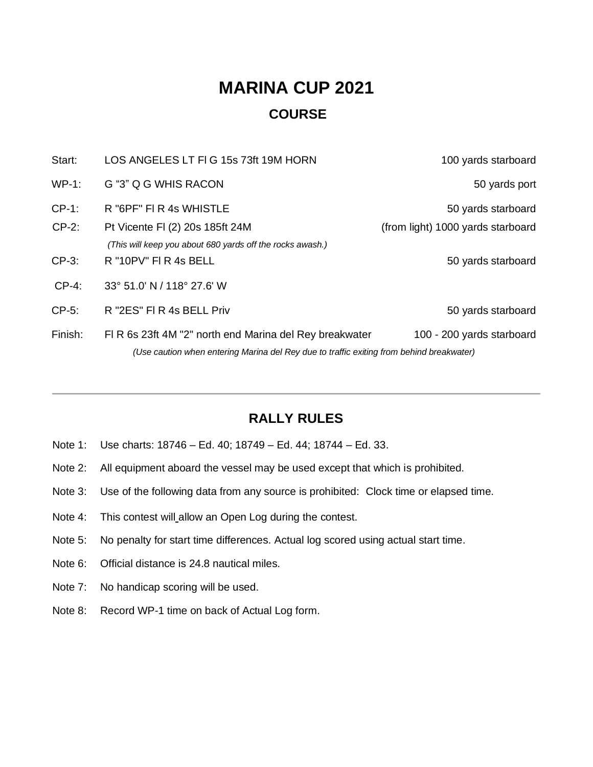# **MARINA CUP 2021 COURSE**

| Start:   | LOS ANGELES LT FIG 15s 73ft 19M HORN                                                                                                               | 100 yards starboard               |
|----------|----------------------------------------------------------------------------------------------------------------------------------------------------|-----------------------------------|
| $WP-1$ : | G "3" Q G WHIS RACON                                                                                                                               | 50 yards port                     |
| $CP-1$ : | R "6PF" FI R 4s WHISTLE                                                                                                                            | 50 yards starboard                |
| $CP-2$ : | Pt Vicente FI (2) 20s 185ft 24M<br>(This will keep you about 680 yards off the rocks awash.)                                                       | (from light) 1000 yards starboard |
| $CP-3$ : | R "10PV" FI R 4s BELL                                                                                                                              | 50 yards starboard                |
| $CP-4$ : | 33° 51.0' N / 118° 27.6' W                                                                                                                         |                                   |
| $CP-5$ : | R "2ES" FI R 4s BELL Priv                                                                                                                          | 50 yards starboard                |
| Finish:  | FIR 6s 23ft 4M "2" north end Marina del Rey breakwater<br>(Use caution when entering Marina del Rey due to traffic exiting from behind breakwater) | 100 - 200 yards starboard         |

### **RALLY RULES**

- Note 1: Use charts: 18746 Ed. 40; 18749 Ed. 44; 18744 Ed. 33.
- Note 2: All equipment aboard the vessel may be used except that which is prohibited.
- Note 3: Use of the following data from any source is prohibited: Clock time or elapsed time.
- Note 4: This contest will allow an Open Log during the contest.
- Note 5: No penalty for start time differences. Actual log scored using actual start time.
- Note 6: Official distance is 24.8 nautical miles.
- Note 7: No handicap scoring will be used.
- Note 8: Record WP-1 time on back of Actual Log form.